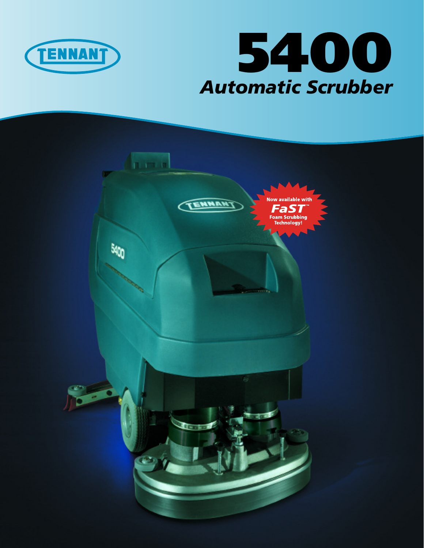



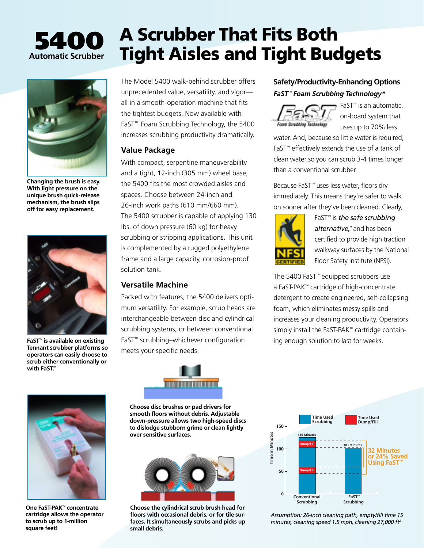# **5400 Automatic Scrubber**

**Changing the brush is easy. With light pressure on the unique brush quick-release mechanism, the brush slips off for easy replacement.**



**Tennant scrubber platforms so operators can easily choose to scrub either conventionally or with FaST™.**

The Model 5400 walk-behind scrubber offers unprecedented value, versatility, and vigor all in a smooth-operation machine that fits the tightest budgets. Now available with FaST™ Foam Scrubbing Technology, the 5400 increases scrubbing productivity dramatically.

**A Scrubber That Fits Both** 

**Tight Aisles and Tight Budgets**

### **Value Package**

With compact, serpentine maneuverability and a tight, 12-inch (305 mm) wheel base, the 5400 fits the most crowded aisles and spaces. Choose between 24-inch and 26-inch work paths (610 mm/660 mm). The 5400 scrubber is capable of applying 130 lbs. of down pressure (60 kg) for heavy scrubbing or stripping applications. This unit is complemented by a rugged polyethylene frame and a large capacity, corrosion-proof solution tank.

### **Versatile Machine**

Packed with features, the 5400 delivers optimum versatility. For example, scrub heads are interchangeable between disc and cylindrical scrubbing systems, or between conventional **FaST™ is available on existing** FaST™ scrubbing–whichever configuration ing enough solution to last for weeks. meets your specific needs.



**Choose disc brushes or pad drivers for smooth floors without debris. Adjustable down-pressure allows two high-speed discs to dislodge stubborn grime or clean lightly over sensitive surfaces.**



**Choose the cylindrical scrub brush head for floors with occasional debris, or for tile surfaces. It simultaneously scrubs and picks up small debris.**

### **Safety/Productivity-Enhancing Options** *FaST™ Foam Scrubbing Technology\**



FaST™ is an automatic, on-board system that uses up to 70% less

water. And, because so little water is required, FaST™ effectively extends the use of a tank of clean water so you can scrub 3-4 times longer than a conventional scrubber.

Because FaST™ uses less water, floors dry immediately. This means they're safer to walk on sooner after they've been cleaned. Clearly,



FaST™ is *the safe scrubbing alternative,™* and has been certified to provide high traction walkway surfaces by the National Floor Safety Institute (NFSI).

The 5400 FaST™ equipped scrubbers use a FaST-PAK™ cartridge of high-concentrate **173 Minutes** detergent to create engineered, self-collapsing foam, which eliminates messy spills and **22 Minutes** increases your cleaning productivity. Operators 100 **Dump/F** simply install the FaST-PAK™ cartridge contain-**<sup>51</sup> Minutes or 30% Saved Using FaST™ 50 Dump/F**



*Assumption: 26-inch cleaning path, empty/fill time 15 minutes, cleaning speed 1.5 mph, cleaning 27,000 ft2*



**One FaST-PAK™ concentrate cartridge allows the operator to scrub up to 1-million square feet!**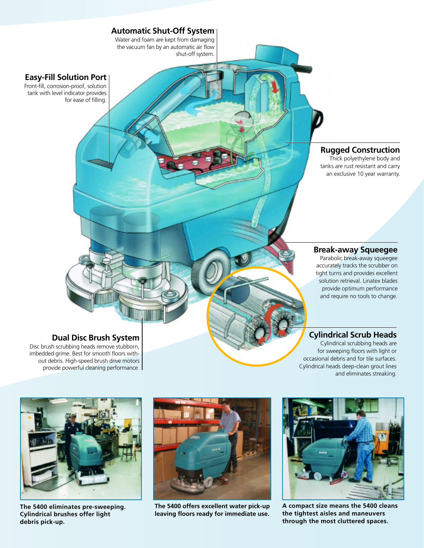

### **Dual Disc Brush System**

Disc brush scrubbing heads remove stubborn, imbedded grime. Best for smooth floors without debris. High-speed brush drive motors provide powerful cleaning performance. **Cylindrical Scrub Heads**

Cylindrical scrubbing heads are for sweeping floors with light or occasional debris and for tile surfaces. Cylindrical heads deep-clean grout lines and eliminates streaking.



**The 5400 eliminates pre-sweeping. Cylindrical brushes offer light debris pick-up.**



**The 5400 offers excellent water pick-up leaving floors ready for immediate use.**



**A compact size means the 5400 cleans the tightest aisles and maneuvers through the most cluttered spaces.**